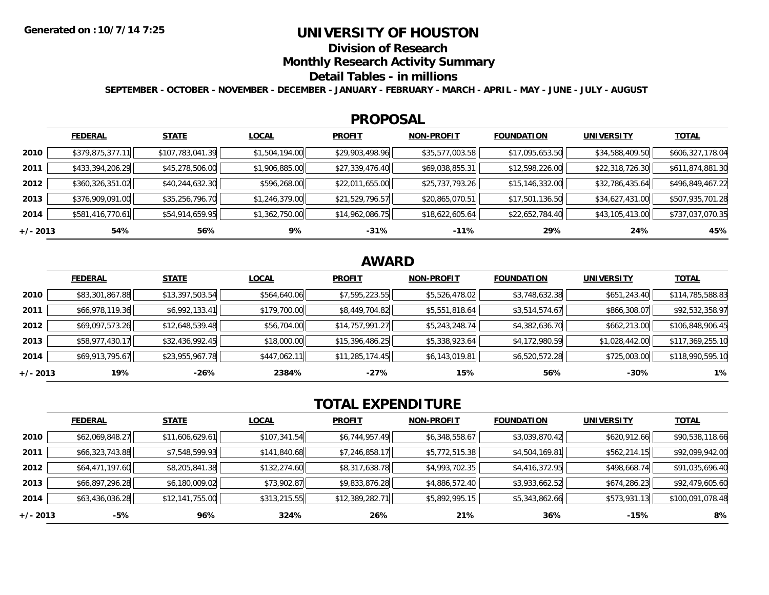### **UNIVERSITY OF HOUSTON**

**Division of Research**

**Monthly Research Activity Summary**

#### **Detail Tables - in millions**

**SEPTEMBER - OCTOBER - NOVEMBER - DECEMBER - JANUARY - FEBRUARY - MARCH - APRIL - MAY - JUNE - JULY - AUGUST**

#### **PROPOSAL**

|            | <b>FEDERAL</b>   | <b>STATE</b>     | <b>LOCAL</b>   | <b>PROFIT</b>   | <b>NON-PROFIT</b> | <b>FOUNDATION</b> | <b>UNIVERSITY</b> | <b>TOTAL</b>     |
|------------|------------------|------------------|----------------|-----------------|-------------------|-------------------|-------------------|------------------|
| 2010       | \$379,875,377.11 | \$107,783,041.39 | \$1,504,194.00 | \$29,903,498.96 | \$35,577,003.58   | \$17,095,653.50   | \$34,588,409.50   | \$606,327,178.04 |
| 2011       | \$433,394,206.29 | \$45,278,506.00  | \$1,906,885.00 | \$27,339,476.40 | \$69,038,855.31   | \$12,598,226.00   | \$22,318,726.30   | \$611,874,881.30 |
| 2012       | \$360,326,351.02 | \$40,244,632.30  | \$596,268.00   | \$22,011,655.00 | \$25,737,793.26   | \$15,146,332.00   | \$32,786,435.64   | \$496,849,467.22 |
| 2013       | \$376,909,091.00 | \$35,256,796.70  | \$1,246,379.00 | \$21,529,796.57 | \$20,865,070.51   | \$17,501,136.50   | \$34,627,431.00   | \$507,935,701.28 |
| 2014       | \$581,416,770.61 | \$54,914,659.95  | \$1,362,750.00 | \$14,962,086.75 | \$18,622,605.64   | \$22,652,784.40   | \$43,105,413.00   | \$737,037,070.35 |
| $+/- 2013$ | 54%              | 56%              | 9%             | $-31%$          | $-11%$            | 29%               | 24%               | 45%              |

## **AWARD**

|            | <b>FEDERAL</b>  | <b>STATE</b>    | <b>LOCAL</b> | <b>PROFIT</b>   | <b>NON-PROFIT</b> | <b>FOUNDATION</b> | <b>UNIVERSITY</b> | <b>TOTAL</b>     |
|------------|-----------------|-----------------|--------------|-----------------|-------------------|-------------------|-------------------|------------------|
| 2010       | \$83,301,867.88 | \$13,397,503.54 | \$564,640.06 | \$7,595,223.55  | \$5,526,478.02    | \$3,748,632.38    | \$651,243.40      | \$114,785,588.83 |
| 2011       | \$66,978,119.36 | \$6,992,133.41  | \$179,700.00 | \$8,449,704.82  | \$5,551,818.64    | \$3,514,574.67    | \$866,308.07      | \$92,532,358.97  |
| 2012       | \$69,097,573.26 | \$12,648,539.48 | \$56,704.00  | \$14,757,991.27 | \$5,243,248.74    | \$4,382,636.70    | \$662,213.00      | \$106,848,906.45 |
| 2013       | \$58,977,430.17 | \$32,436,992.45 | \$18,000.00  | \$15,396,486.25 | \$5,338,923.64    | \$4,172,980.59    | \$1,028,442.00    | \$117,369,255.10 |
| 2014       | \$69,913,795.67 | \$23,955,967.78 | \$447,062.11 | \$11,285,174.45 | \$6,143,019.81    | \$6,520,572.28    | \$725,003.00      | \$118,990,595.10 |
| $+/- 2013$ | 19%             | -26%            | 2384%        | $-27%$          | 15%               | 56%               | $-30%$            | 1%               |

# **TOTAL EXPENDITURE**

|            | <b>FEDERAL</b>  | <b>STATE</b>    | <b>LOCAL</b> | <b>PROFIT</b>   | <b>NON-PROFIT</b> | <b>FOUNDATION</b> | <b>UNIVERSITY</b> | <b>TOTAL</b>     |
|------------|-----------------|-----------------|--------------|-----------------|-------------------|-------------------|-------------------|------------------|
| 2010       | \$62,069,848.27 | \$11,606,629.61 | \$107,341.54 | \$6,744,957.49  | \$6,348,558.67    | \$3,039,870.42    | \$620,912.66      | \$90,538,118.66  |
| 2011       | \$66,323,743.88 | \$7,548,599.93  | \$141,840.68 | \$7,246,858.17  | \$5,772,515.38    | \$4,504,169.81    | \$562,214.15      | \$92,099,942.00  |
| 2012       | \$64,471,197.60 | \$8,205,841.38  | \$132,274.60 | \$8,317,638.78  | \$4,993,702.35    | \$4,416,372.95    | \$498,668.74      | \$91,035,696.40  |
| 2013       | \$66,897,296.28 | \$6,180,009.02  | \$73,902.87  | \$9,833,876.28  | \$4,886,572.40    | \$3,933,662.52    | \$674,286.23      | \$92,479,605.60  |
| 2014       | \$63,436,036.28 | \$12,141,755.00 | \$313,215.55 | \$12,389,282.71 | \$5,892,995.15    | \$5,343,862.66    | \$573,931.13      | \$100,091,078.48 |
| $+/- 2013$ | -5%             | 96%             | 324%         | 26%             | 21%               | 36%               | $-15%$            | 8%               |